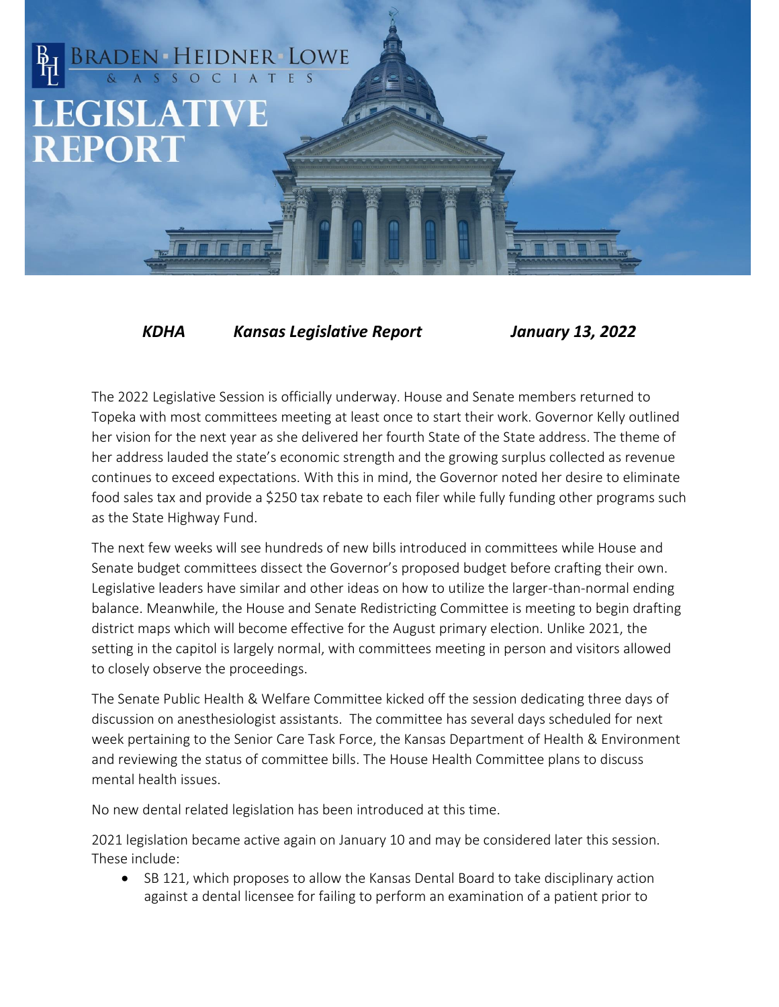## BRADEN HEIDNER LOWE **LEGISLATIVE REPORT**

*KDHA Kansas Legislative Report January 13, 2022*

The 2022 Legislative Session is officially underway. House and Senate members returned to Topeka with most committees meeting at least once to start their work. Governor Kelly outlined her vision for the next year as she delivered her fourth State of the State address. The theme of her address lauded the state's economic strength and the growing surplus collected as revenue continues to exceed expectations. With this in mind, the Governor noted her desire to eliminate food sales tax and provide a \$250 tax rebate to each filer while fully funding other programs such as the State Highway Fund.

The next few weeks will see hundreds of new bills introduced in committees while House and Senate budget committees dissect the Governor's proposed budget before crafting their own. Legislative leaders have similar and other ideas on how to utilize the larger-than-normal ending balance. Meanwhile, the House and Senate Redistricting Committee is meeting to begin drafting district maps which will become effective for the August primary election. Unlike 2021, the setting in the capitol is largely normal, with committees meeting in person and visitors allowed to closely observe the proceedings.

The Senate Public Health & Welfare Committee kicked off the session dedicating three days of discussion on anesthesiologist assistants. The committee has several days scheduled for next week pertaining to the Senior Care Task Force, the Kansas Department of Health & Environment and reviewing the status of committee bills. The House Health Committee plans to discuss mental health issues.

No new dental related legislation has been introduced at this time.

2021 legislation became active again on January 10 and may be considered later this session. These include:

• SB 121, which proposes to allow the Kansas Dental Board to take disciplinary action against a dental licensee for failing to perform an examination of a patient prior to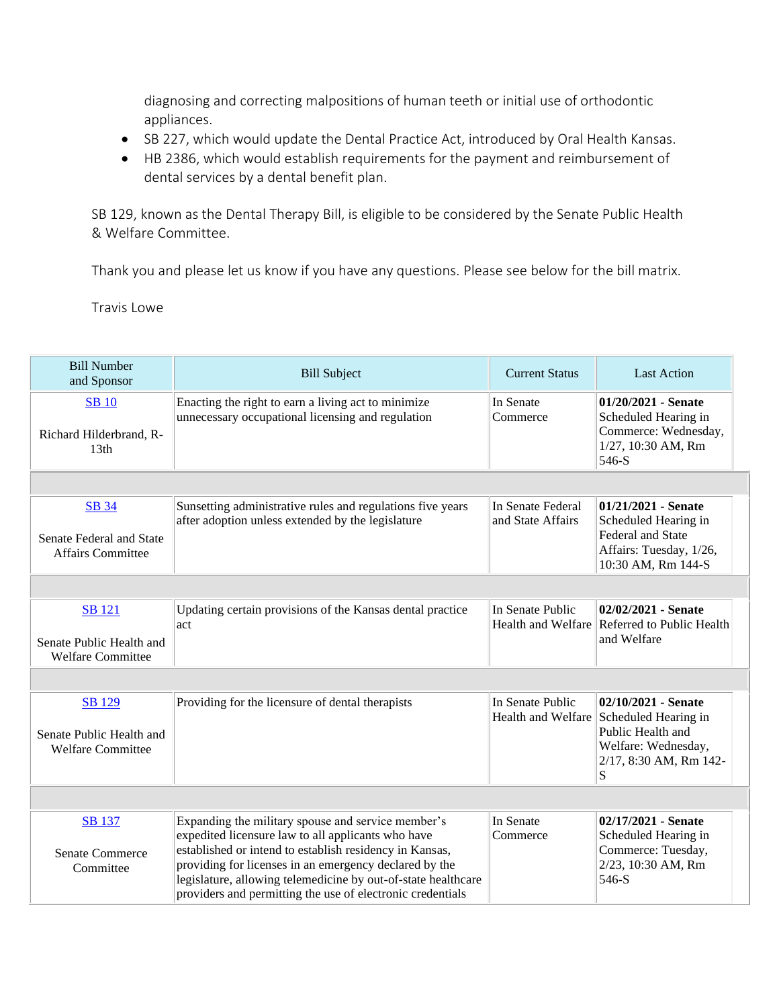diagnosing and correcting malpositions of human teeth or initial use of orthodontic appliances.

- SB 227, which would update the Dental Practice Act, introduced by Oral Health Kansas.
- HB 2386, which would establish requirements for the payment and reimbursement of dental services by a dental benefit plan.

SB 129, known as the Dental Therapy Bill, is eligible to be considered by the Senate Public Health & Welfare Committee.

Thank you and please let us know if you have any questions. Please see below for the bill matrix.

Travis Lowe

| <b>Bill Number</b><br>and Sponsor                                     | <b>Bill Subject</b>                                                                                                                                                                                                                                                                                                                                          | <b>Current Status</b>                  | <b>Last Action</b>                                                                                                         |
|-----------------------------------------------------------------------|--------------------------------------------------------------------------------------------------------------------------------------------------------------------------------------------------------------------------------------------------------------------------------------------------------------------------------------------------------------|----------------------------------------|----------------------------------------------------------------------------------------------------------------------------|
| <b>SB</b> 10<br>Richard Hilderbrand, R-<br>13 <sub>th</sub>           | Enacting the right to earn a living act to minimize<br>unnecessary occupational licensing and regulation                                                                                                                                                                                                                                                     | In Senate<br>Commerce                  | 01/20/2021 - Senate<br>Scheduled Hearing in<br>Commerce: Wednesday,<br>1/27, 10:30 AM, Rm<br>546-S                         |
|                                                                       |                                                                                                                                                                                                                                                                                                                                                              |                                        |                                                                                                                            |
| <b>SB</b> 34<br>Senate Federal and State<br><b>Affairs Committee</b>  | Sunsetting administrative rules and regulations five years<br>after adoption unless extended by the legislature                                                                                                                                                                                                                                              | In Senate Federal<br>and State Affairs | $01/21/2021$ - Senate<br>Scheduled Hearing in<br><b>Federal and State</b><br>Affairs: Tuesday, 1/26,<br>10:30 AM, Rm 144-S |
|                                                                       |                                                                                                                                                                                                                                                                                                                                                              |                                        |                                                                                                                            |
| SB 121<br>Senate Public Health and<br><b>Welfare Committee</b>        | Updating certain provisions of the Kansas dental practice<br>act                                                                                                                                                                                                                                                                                             | In Senate Public                       | 02/02/2021 - Senate<br>Health and Welfare Referred to Public Health<br>and Welfare                                         |
|                                                                       |                                                                                                                                                                                                                                                                                                                                                              |                                        |                                                                                                                            |
| <b>SB</b> 129<br>Senate Public Health and<br><b>Welfare Committee</b> | Providing for the licensure of dental therapists                                                                                                                                                                                                                                                                                                             | In Senate Public<br>Health and Welfare | 02/10/2021 - Senate<br>Scheduled Hearing in<br>Public Health and<br>Welfare: Wednesday,<br>2/17, 8:30 AM, Rm 142-<br>S     |
|                                                                       |                                                                                                                                                                                                                                                                                                                                                              |                                        |                                                                                                                            |
| <b>SB</b> 137<br><b>Senate Commerce</b><br>Committee                  | Expanding the military spouse and service member's<br>expedited licensure law to all applicants who have<br>established or intend to establish residency in Kansas,<br>providing for licenses in an emergency declared by the<br>legislature, allowing telemedicine by out-of-state healthcare<br>providers and permitting the use of electronic credentials | In Senate<br>Commerce                  | 02/17/2021 - Senate<br>Scheduled Hearing in<br>Commerce: Tuesday,<br>2/23, 10:30 AM, Rm<br>546-S                           |